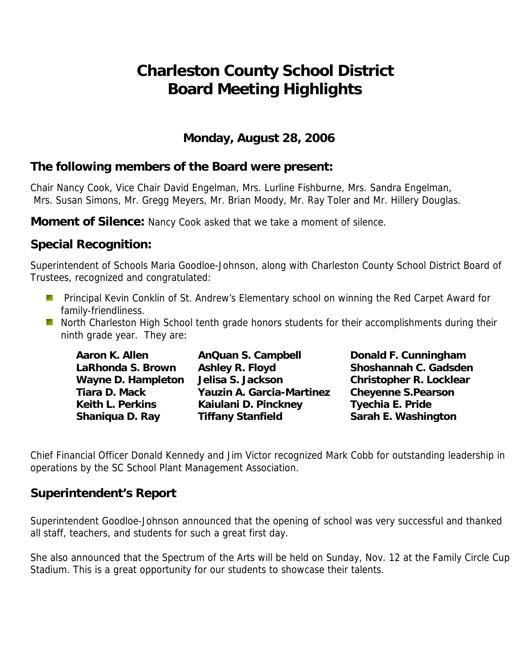# **Charleston County School District Board Meeting Highlights**

### **Monday, August 28, 2006**

## **The following members of the Board were present:**

Chair Nancy Cook, Vice Chair David Engelman, Mrs. Lurline Fishburne, Mrs. Sandra Engelman, Mrs. Susan Simons, Mr. Gregg Meyers, Mr. Brian Moody, Mr. Ray Toler and Mr. Hillery Douglas.

**Moment of Silence:** Nancy Cook asked that we take a moment of silence.

# **Special Recognition:**

Superintendent of Schools Maria Goodloe-Johnson, along with Charleston County School District Board of Trustees, recognized and congratulated:

- **Principal Kevin Conklin of St. Andrew's Elementary school on winning the Red Carpet Award for** family-friendliness.
- **North Charleston High School tenth grade honors students for their accomplishments during their** ninth grade year. They are:

 **LaRhonda S. Brown Ashley R. Floyd Shoshannah C. Gadsden**  Wayne D. Hampleton Jelisa S. Jackson **Christopher R. Locklear Tiara D. Mack Yauzin A. Garcia-Martinez Cheyenne S.Pearson**  Keith L. Perkins **Kaiulani D. Pinckney** Tyechia E. Pride **Shaniqua D. Ray Tiffany Stanfield Sarah E. Washington** 

Aaron K. Allen **AnQuan S. Campbell Conald F. Cunningham** 

Chief Financial Officer Donald Kennedy and Jim Victor recognized Mark Cobb for outstanding leadership in operations by the SC School Plant Management Association.

#### **Superintendent's Report**

Superintendent Goodloe-Johnson announced that the opening of school was very successful and thanked all staff, teachers, and students for such a great first day.

She also announced that the Spectrum of the Arts will be held on Sunday, Nov. 12 at the Family Circle Cup Stadium. This is a great opportunity for our students to showcase their talents.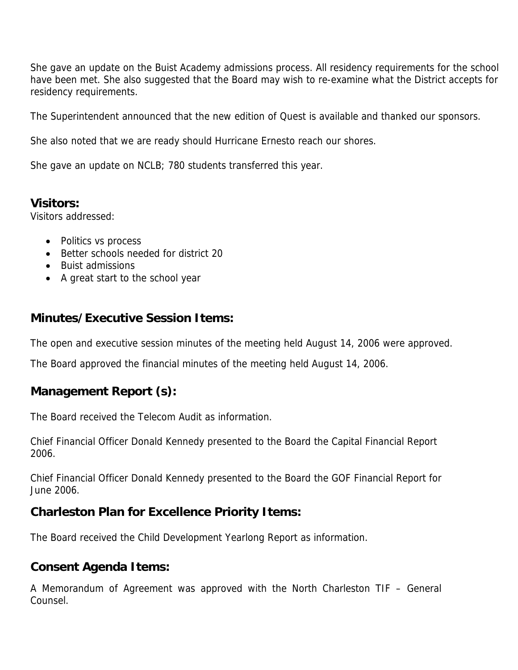She gave an update on the Buist Academy admissions process. All residency requirements for the school have been met. She also suggested that the Board may wish to re-examine what the District accepts for residency requirements.

The Superintendent announced that the new edition of Quest is available and thanked our sponsors.

She also noted that we are ready should Hurricane Ernesto reach our shores.

She gave an update on NCLB; 780 students transferred this year.

## **Visitors:**

Visitors addressed:

- Politics vs process
- Better schools needed for district 20
- Buist admissions
- A great start to the school year

# **Minutes/Executive Session Items:**

The open and executive session minutes of the meeting held August 14, 2006 were approved.

The Board approved the financial minutes of the meeting held August 14, 2006.

# **Management Report (s):**

The Board received the Telecom Audit as information.

Chief Financial Officer Donald Kennedy presented to the Board the Capital Financial Report 2006.

Chief Financial Officer Donald Kennedy presented to the Board the GOF Financial Report for June 2006.

# **Charleston Plan for Excellence Priority Items:**

The Board received the Child Development Yearlong Report as information.

#### **Consent Agenda Items:**

A Memorandum of Agreement was approved with the North Charleston TIF – General Counsel.